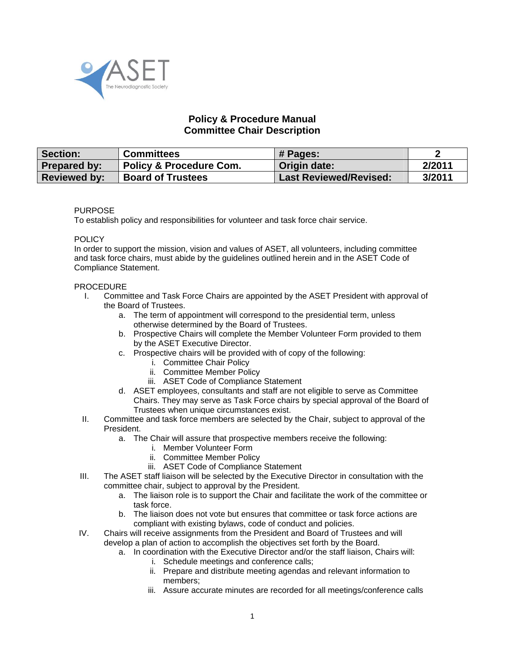

## **Policy & Procedure Manual Committee Chair Description**

| <b>Section:</b>     | <b>Committees</b>                  | # Pages:                      |        |
|---------------------|------------------------------------|-------------------------------|--------|
| <b>Prepared by:</b> | <b>Policy &amp; Procedure Com.</b> | Origin date:                  | 2/2011 |
| <b>Reviewed by:</b> | <b>Board of Trustees</b>           | <b>Last Reviewed/Revised:</b> | 3/2011 |

## PURPOSE

To establish policy and responsibilities for volunteer and task force chair service.

## **POLICY**

In order to support the mission, vision and values of ASET, all volunteers, including committee and task force chairs, must abide by the guidelines outlined herein and in the ASET Code of Compliance Statement.

## PROCEDURE

- I. Committee and Task Force Chairs are appointed by the ASET President with approval of the Board of Trustees.
	- a. The term of appointment will correspond to the presidential term, unless otherwise determined by the Board of Trustees.
	- b. Prospective Chairs will complete the Member Volunteer Form provided to them by the ASET Executive Director.
	- c. Prospective chairs will be provided with of copy of the following:
		- i. Committee Chair Policy
		- ii. Committee Member Policy
		- iii. ASET Code of Compliance Statement
	- d. ASET employees, consultants and staff are not eligible to serve as Committee Chairs. They may serve as Task Force chairs by special approval of the Board of Trustees when unique circumstances exist.
- II. Committee and task force members are selected by the Chair, subject to approval of the President.
	- a. The Chair will assure that prospective members receive the following:
		- i. Member Volunteer Form
		- ii. Committee Member Policy
		- iii. ASET Code of Compliance Statement
- III. The ASET staff liaison will be selected by the Executive Director in consultation with the committee chair, subject to approval by the President.
	- a. The liaison role is to support the Chair and facilitate the work of the committee or task force.
	- b. The liaison does not vote but ensures that committee or task force actions are compliant with existing bylaws, code of conduct and policies.
- IV. Chairs will receive assignments from the President and Board of Trustees and will develop a plan of action to accomplish the objectives set forth by the Board.
	- a. In coordination with the Executive Director and/or the staff liaison, Chairs will:
		- i. Schedule meetings and conference calls;
		- ii. Prepare and distribute meeting agendas and relevant information to members;
		- iii. Assure accurate minutes are recorded for all meetings/conference calls